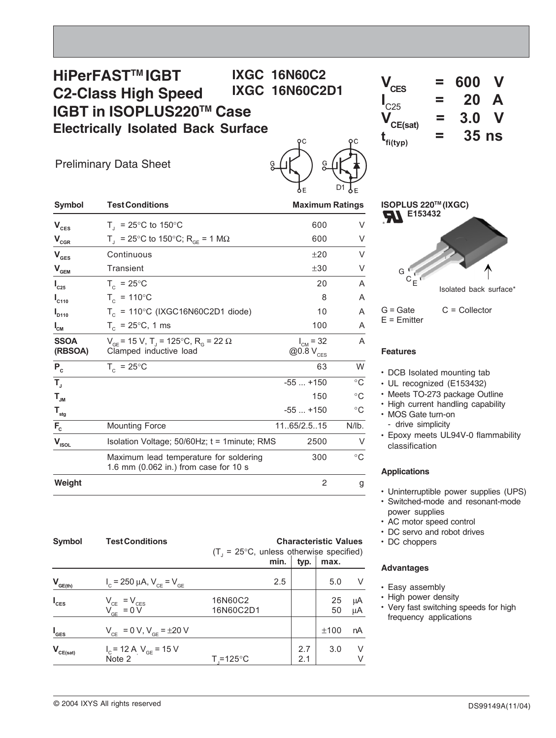# **HiPerFASTTM IGBT C2-Class High Speed IGBT in ISOPLUS220TM Case Electrically Isolated Back Surface IXGC 16N60C2**



Preliminary Data Sheet



| <b>Symbol</b>               | <b>Test Conditions</b>                                                                          |                                        | <b>Maximum Ratings</b> |  |  |
|-----------------------------|-------------------------------------------------------------------------------------------------|----------------------------------------|------------------------|--|--|
| $\mathbf{V}_{\text{ces}}$   | $T_1$ = 25°C to 150°C                                                                           | 600                                    | V                      |  |  |
| $V_{CGR}$                   | $T_{\text{I}}$ = 25°C to 150°C; R <sub>GE</sub> = 1 MΩ                                          | 600                                    | V                      |  |  |
| $\mathbf{V}_{\texttt{GES}}$ | Continuous                                                                                      | ±20                                    | V                      |  |  |
| $\mathbf{V}_{\mathbf{GEM}}$ | Transient                                                                                       | ±30                                    | V                      |  |  |
| $I_{C25}$                   | $T_c = 25^{\circ}C$                                                                             | 20                                     | A                      |  |  |
| $I_{C110}$                  | $T_c = 110^{\circ}C$                                                                            | 8                                      | A                      |  |  |
| $I_{D110}$                  | $T_c$ = 110°C (IXGC16N60C2D1 diode)                                                             | 10                                     | A                      |  |  |
| $I_{\texttt{CM}}$           | $T_c = 25^{\circ}C$ , 1 ms                                                                      | 100                                    | A                      |  |  |
| <b>SSOA</b><br>(RBSOA)      | $V_{CF}$ = 15 V, T <sub>1</sub> = 125°C, R <sub>c</sub> = 22 $\Omega$<br>Clamped inductive load | $I_{CM} = 32$<br>@0.8 V <sub>CES</sub> | A                      |  |  |
| $P_c$                       | $T_c = 25^{\circ}$ C                                                                            | 63                                     | W                      |  |  |
| $T_{\rm J}$                 |                                                                                                 | $-55+150$                              | $^{\circ}$ C           |  |  |
| $\mathsf{T}_{\mathsf{JM}}$  |                                                                                                 | 150                                    | $^{\circ}$ C           |  |  |
| $\mathsf{T}_{\text{stg}}$   |                                                                                                 | $-55+150$                              | $^{\circ}C$            |  |  |
| $F_c$                       | <b>Mounting Force</b>                                                                           | 11.65/2.5.15                           | $N/lb$ .               |  |  |
| $V_{\text{ISOL}}$           | Isolation Voltage; $50/60$ Hz; $t = 1$ minute; RMS                                              | 2500                                   | V                      |  |  |
|                             | Maximum lead temperature for soldering<br>1.6 mm (0.062 in.) from case for 10 s                 | 300                                    | $^{\circ}$ C           |  |  |
| Weight                      |                                                                                                 | 2                                      | g                      |  |  |

| <b>Symbol</b>                            | <b>Test Conditions</b>                              | <b>Characteristic Values</b><br>$(T_1 = 25^{\circ}C$ , unless otherwise specified)<br>min. |     |            |          |          |
|------------------------------------------|-----------------------------------------------------|--------------------------------------------------------------------------------------------|-----|------------|----------|----------|
|                                          |                                                     |                                                                                            |     | typ.       | max.     |          |
| $V_{GE(th)}$                             | $I_c = 250 \mu A$ , $V_{CE} = V_{GE}$               |                                                                                            | 2.5 |            | 5.0      | V        |
| $I_{\text{CES}}$                         | $V_{CE} = V_{CES}$<br>$V_{GE} = 0 V$                | 16N60C2<br>16N60C2D1                                                                       |     |            | 25<br>50 | μA<br>μA |
| $I_{\text{GES}}$                         | $V_{CE} = 0 V, V_{GE} = \pm 20 V$                   |                                                                                            |     |            | ±100     | nA       |
| $\mathsf{V}_{\mathsf{CE}(\mathsf{sat})}$ | $I_c$ = 12 A <sub>.</sub> $V_{GE}$ = 15 V<br>Note 2 | $T = 125^{\circ}$ C                                                                        |     | 2.7<br>2.1 | 3.0      | V<br>V   |

| ISOPLUS 220™ (IXGC)<br>E153432<br><b>AI</b><br>$G \n\begin{bmatrix} 1 \\ C \end{bmatrix}$ |                        |
|-------------------------------------------------------------------------------------------|------------------------|
|                                                                                           | Isolated back surface* |
| $G =$ Gate<br>$E = E$ mitter                                                              | $C =$ Collector        |

## **Features**

- DCB Isolated mounting tab
- UL recognized (E153432)
- Meets TO-273 package Outline
- High current handling capability
- MOS Gate turn-on
	- drive simplicity
- Epoxy meets UL94V-0 flammability classification

## **Applications**

- Uninterruptible power supplies (UPS)
- Switched-mode and resonant-mode power supplies
- AC motor speed control
- DC servo and robot drives
- DC choppers

### **Advantages**

- Easy assembly
- High power density
- Very fast switching speeds for high frequency applications